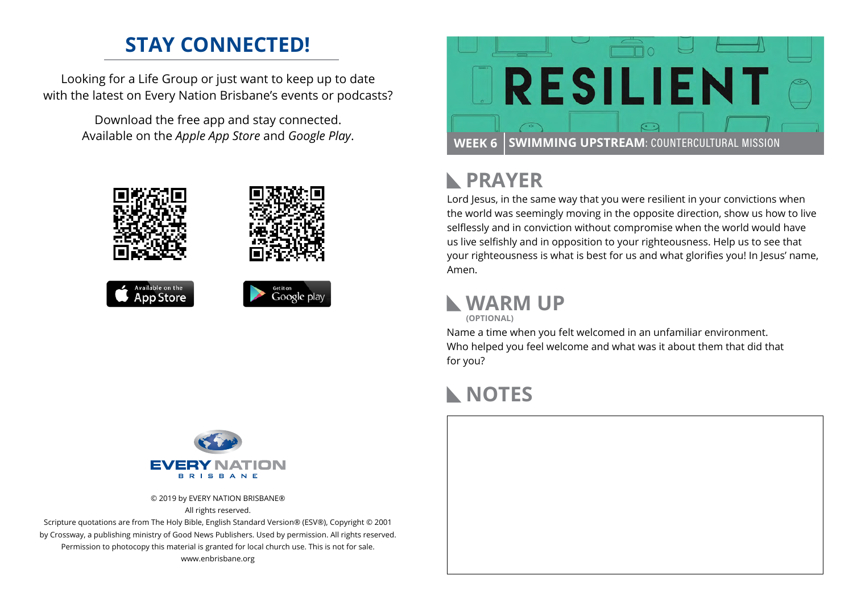### **STAY CONNECTED!**

Looking for a Life Group or just want to keep up to date with the latest on Every Nation Brisbane's events or podcasts?

> Download the free app and stay connected. Available on the *Apple App Store* and *Google Play*.





# **PRAYER**

Lord Jesus, in the same way that you were resilient in your convictions when the world was seemingly moving in the opposite direction, show us how to live selflessly and in conviction without compromise when the world would have us live selfishly and in opposition to your righteousness. Help us to see that your righteousness is what is best for us and what glorifies you! In Jesus' name, Amen.

### **WARM UP**

**(OPTIONAL)**

Name a time when you felt welcomed in an unfamiliar environment. Who helped you feel welcome and what was it about them that did that for you?

# **NOTES**





© 2019 by EVERY NATION BRISBANE® All rights reserved.

Scripture quotations are from The Holy Bible, English Standard Version® (ESV®), Copyright © 2001 by Crossway, a publishing ministry of Good News Publishers. Used by permission. All rights reserved. Permission to photocopy this material is granted for local church use. This is not for sale. www.enbrisbane.org